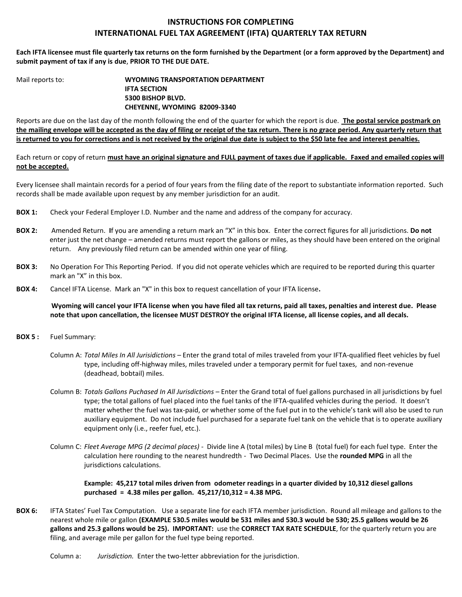## **INSTRUCTIONS FOR COMPLETING INTERNATIONAL FUEL TAX AGREEMENT (IFTA) QUARTERLY TAX RETURN**

**Each IFTA licensee must file quarterly tax returns on the form furnished by the Department (or a form approved by the Department) and submit payment of tax if any is due**, **PRIOR TO THE DUE DATE.**

Mail reports to: **WYOMING TRANSPORTATION DEPARTMENT IFTA SECTION 5300 BISHOP BLVD. CHEYENNE, WYOMING 82009-3340**

Reports are due on the last day of the month following the end of the quarter for which the report is due. **The postal service postmark on the mailing envelope will be accepted as the day of filing or receipt of the tax return. There is no grace period. Any quarterly return that is returned to you for corrections and is not received by the original due date is subject to the \$50 late fee and interest penalties.**

Each return or copy of return **must have an original signature and FULL payment of taxes due if applicable. Faxed and emailed copies will not be accepted.**

Every licensee shall maintain records for a period of four years from the filing date of the report to substantiate information reported. Such records shall be made available upon request by any member jurisdiction for an audit.

- **BOX 1:** Check your Federal Employer I.D. Number and the name and address of the company for accuracy.
- **BOX 2:** Amended Return. **I**f you are amending a return mark an "X" in this box. Enter the correct figures for all jurisdictions. **Do not** enter just the net change – amended returns must report the gallons or miles, as they should have been entered on the original return. Any previously filed return can be amended within one year of filing.
- **BOX 3:** No Operation For This Reporting Period. If you did not operate vehicles which are required to be reported during this quarter mark an "X" in this box.
- **BOX 4:** Cancel IFTA License.Mark an "X" in this box to request cancellation of your IFTA license**.**

**Wyoming will cancel your IFTA license when you have filed all tax returns, paid all taxes, penalties and interest due. Please note that upon cancellation, the licensee MUST DESTROY the original IFTA license, all license copies, and all decals.** 

- **BOX 5 :** Fuel Summary:
	- Column A: *Total Miles In All Jurisidictions –* Enter the grand total of miles traveled from your IFTA-qualified fleet vehicles by fuel type, including off-highway miles, miles traveled under a temporary permit for fuel taxes, and non-revenue (deadhead, bobtail) miles.
	- Column B: *Totals Gallons Puchased In All Jurisdictions –* Enter the Grand total of fuel gallons purchased in all jurisdictions by fuel type; the total gallons of fuel placed into the fuel tanks of the IFTA-qualifed vehicles during the period. It doesn't matter whether the fuel was tax-paid, or whether some of the fuel put in to the vehicle's tank will also be used to run auxiliary equipment. Do not include fuel purchased for a separate fuel tank on the vehicle that is to operate auxiliary equipment only (i.e., reefer fuel, etc.).
	- Column C: *Fleet Average MPG (2 decimal places)* Divide line A (total miles) by Line B (total fuel) for each fuel type. Enter the calculation here rounding to the nearest hundredth - Two Decimal Places. Use the **rounded MPG** in all the jurisdictions calculations.

 **Example: 45,217 total miles driven from odometer readings in a quarter divided by 10,312 diesel gallons purchased = 4.38 miles per gallon. 45,217/10,312 = 4.38 MPG.**

**BOX 6:** IFTA States' Fuel Tax Computation. Use a separate line for each IFTA member jurisdiction. Round all mileage and gallons to the nearest whole mile or gallon **(EXAMPLE 530.5 miles would be 531 miles and 530.3 would be 530; 25.5 gallons would be 26 gallons and 25.3 gallons would be 25). IMPORTANT:** use the **CORRECT TAX RATE SCHEDULE**, for the quarterly return you are filing, and average mile per gallon for the fuel type being reported.

Column a: *Jurisdiction.* Enter the two-letter abbreviation for the jurisdiction.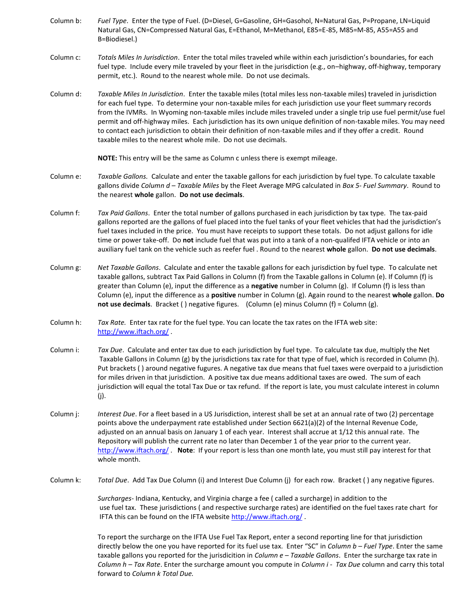- Column b: *Fuel Type*. Enter the type of Fuel. (D=Diesel, G=Gasoline, GH=Gasohol, N=Natural Gas, P=Propane, LN=Liquid Natural Gas, CN=Compressed Natural Gas, E=Ethanol, M=Methanol, E85=E-85, M85=M-85, A55=A55 and B=Biodiesel.)
- Column c: *Totals Miles In Jurisdiction*. Enter the total miles traveled while within each jurisdiction's boundaries, for each fuel type. Include every mile traveled by your fleet in the jurisdiction (e.g., on-highway, off-highway, temporary permit, etc.). Round to the nearest whole mile. Do not use decimals.
- Column d: *Taxable Miles In Jurisdiction*. Enter the taxable miles (total miles less non-taxable miles) traveled in jurisdiction for each fuel type. To determine your non-taxable miles for each jurisdiction use your fleet summary records from the IVMRs. In Wyoming non-taxable miles include miles traveled under a single trip use fuel permit/use fuel permit and off-highway miles. Each jurisdiction has its own unique definition of non-taxable miles. You may need to contact each jurisdiction to obtain their definition of non-taxable miles and if they offer a credit. Round taxable miles to the nearest whole mile. Do not use decimals.

**NOTE:** This entry will be the same as Column c unless there is exempt mileage.

- Column e: *Taxable Gallons.* Calculate and enter the taxable gallons for each jurisdiction by fuel type. To calculate taxable gallons divide *Column d – Taxable Miles* by the Fleet Average MPG calculated in *Box 5- Fuel Summary*. Round to the nearest **whole** gallon. **Do not use decimals**.
- Column f: *Tax Paid Gallons*. Enter the total number of gallons purchased in each jurisdiction by tax type. The tax-paid gallons reported are the gallons of fuel placed into the fuel tanks of your fleet vehicles that had the jurisdiction's fuel taxes included in the price. You must have receipts to support these totals. Do not adjust gallons for idle time or power take-off. Do **not** include fuel that was put into a tank of a non-qualifed IFTA vehicle or into an auxiliary fuel tank on the vehicle such as reefer fuel . Round to the nearest **whole** gallon. **Do not use decimals**.
- Column g: *Net Taxable Gallons*. Calculate and enter the taxable gallons for each jurisdiction by fuel type. To calculate net taxable gallons, subtract Tax Paid Gallons in Column (f) from the Taxable gallons in Column (e). If Column (f) is greater than Column (e), input the difference as a **negative** number in Column (g). If Column (f) is less than Column (e), input the difference as a **positive** number in Column (g). Again round to the nearest **whole** gallon. **Do not use decimals**. Bracket ( ) negative figures. (Column (e) minus Column (f) = Column (g).
- Column h: *Tax Rate.* Enter tax rate for the fuel type. You can locate the tax rates on the IFTA web site: <http://www.iftach.org/>.
- Column i: *Tax Due*. Calculate and enter tax due to each jurisdiction by fuel type. To calculate tax due, multiply the Net Taxable Gallons in Column (g) by the jurisdictions tax rate for that type of fuel, which is recorded in Column (h). Put brackets ( ) around negative fugures. A negative tax due means that fuel taxes were overpaid to a jurisdiction for miles driven in that jurisdiction. A positive tax due means additional taxes are owed. The sum of each jurisdiction will equal the total Tax Due or tax refund. If the report is late, you must calculate interest in column (j).
- Column j: *Interest Due*. For a fleet based in a US Jurisdiction, interest shall be set at an annual rate of two (2) percentage points above the underpayment rate established under Section 6621(a)(2) of the Internal Revenue Code, adjusted on an annual basis on January 1 of each year. Interest shall accrue at 1/12 this annual rate. The Repository will publish the current rate no later than December 1 of the year prior to the current year. <http://www.iftach.org/> . **Note**: If your report is less than one month late, you must still pay interest for that whole month.
- Column k: *Total Due*. Add Tax Due Column (i) and Interest Due Column (j) for each row. Bracket ( ) any negative figures.

 *Surcharges-* Indiana, Kentucky, and Virginia charge a fee ( called a surcharge) in addition to the use fuel tax. These jurisdictions ( and respective surcharge rates) are identified on the fuel taxes rate chart for IFTA this can be found on the IFTA website <http://www.iftach.org/> .

To report the surcharge on the IFTA Use Fuel Tax Report, enter a second reporting line for that jurisdiction directly below the one you have reported for its fuel use tax. Enter "SC" in *Column b – Fuel Type*. Enter the same taxable gallons you reported for the jurisdicition in *Column e* – *Taxable Gallons*. Enter the surcharge tax rate in *Column h – Tax Rate*. Enter the surcharge amount you compute in *Column i - Tax Due* column and carry this total forward to *Column k Total Due.*